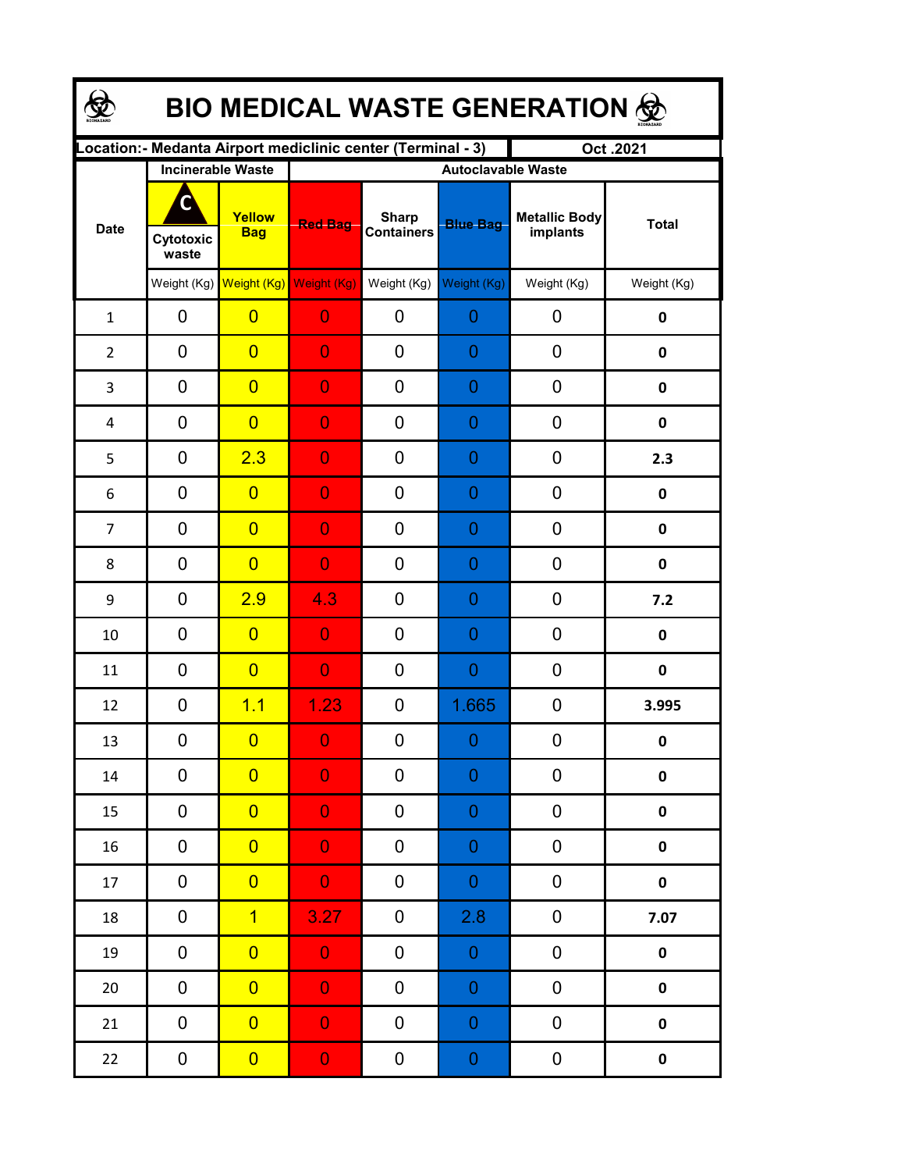| <b>BIO MEDICAL WASTE GENERATION 佥</b> |                          |                                     |                           |                                                              |                  |                                  |              |  |  |  |
|---------------------------------------|--------------------------|-------------------------------------|---------------------------|--------------------------------------------------------------|------------------|----------------------------------|--------------|--|--|--|
|                                       |                          |                                     |                           | Location: - Medanta Airport mediclinic center (Terminal - 3) |                  | Oct.2021                         |              |  |  |  |
| <b>Date</b>                           | <b>Incinerable Waste</b> |                                     | <b>Autoclavable Waste</b> |                                                              |                  |                                  |              |  |  |  |
|                                       | C<br>Cytotoxic<br>waste  | Yellow<br><b>Bag</b>                | <b>Red Bag</b>            | <b>Sharp</b><br><b>Containers</b>                            | <b>Blue Bag</b>  | <b>Metallic Body</b><br>implants | <b>Total</b> |  |  |  |
|                                       |                          | Weight (Kg) Weight (Kg) Weight (Kg) |                           | Weight (Kg)                                                  | Weight (Kg)      | Weight (Kg)                      | Weight (Kg)  |  |  |  |
| $\mathbf{1}$                          | 0                        | $\overline{0}$                      | $\overline{0}$            | 0                                                            | 0                | 0                                | 0            |  |  |  |
| $\overline{2}$                        | $\mathbf 0$              | $\overline{0}$                      | $\overline{0}$            | 0                                                            | 0                | 0                                | $\mathbf 0$  |  |  |  |
| 3                                     | $\mathbf 0$              | $\overline{0}$                      | $\overline{0}$            | 0                                                            | 0                | 0                                | $\mathbf 0$  |  |  |  |
| 4                                     | $\mathbf 0$              | $\overline{0}$                      | $\overline{0}$            | 0                                                            | 0                | 0                                | $\mathbf 0$  |  |  |  |
| 5                                     | $\mathbf 0$              | 2.3                                 | $\overline{0}$            | 0                                                            | 0                | 0                                | 2.3          |  |  |  |
| 6                                     | $\mathbf 0$              | $\overline{0}$                      | $\overline{0}$            | 0                                                            | 0                | 0                                | $\mathbf 0$  |  |  |  |
| $\overline{7}$                        | $\mathbf 0$              | $\overline{0}$                      | $\overline{0}$            | 0                                                            | 0                | 0                                | 0            |  |  |  |
| 8                                     | $\mathbf 0$              | $\overline{0}$                      | $\overline{0}$            | 0                                                            | 0                | 0                                | 0            |  |  |  |
| 9                                     | $\mathbf 0$              | 2.9                                 | 4.3                       | 0                                                            | 0                | 0                                | 7.2          |  |  |  |
| 10                                    | 0                        | $\overline{0}$                      | $\overline{0}$            | 0                                                            | 0                | 0                                | 0            |  |  |  |
| 11                                    | 0                        | $\overline{0}$                      | $\overline{0}$            | 0                                                            | 0                | 0                                | $\mathbf 0$  |  |  |  |
| 12                                    | 0                        | 1.1                                 | 1.23                      | 0                                                            | 1.665            | 0                                | 3.995        |  |  |  |
| 13                                    | 0                        | $\overline{\mathbf{0}}$             | $\Omega$                  | $\boldsymbol{0}$                                             | $\Omega$         | $\boldsymbol{0}$                 | 0            |  |  |  |
| 14                                    | 0                        | $\overline{0}$                      | $\overline{0}$            | 0                                                            | 0                | 0                                | 0            |  |  |  |
| 15                                    | 0                        | $\overline{0}$                      | $\overline{0}$            | 0                                                            | 0                | $\pmb{0}$                        | $\pmb{0}$    |  |  |  |
| 16                                    | 0                        | $\overline{0}$                      | $\overline{0}$            | 0                                                            | 0                | $\pmb{0}$                        | $\pmb{0}$    |  |  |  |
| 17                                    | 0                        | $\overline{0}$                      | $\mathbf{O}$              | 0                                                            | $\boldsymbol{0}$ | $\pmb{0}$                        | $\pmb{0}$    |  |  |  |
| 18                                    | 0                        | $\overline{1}$                      | 3.27                      | 0                                                            | 2.8              | 0                                | 7.07         |  |  |  |
| 19                                    | 0                        | $\overline{0}$                      | $\overline{0}$            | 0                                                            | $\mathbf 0$      | 0                                | 0            |  |  |  |
| 20                                    | 0                        | $\overline{0}$                      | $\overline{0}$            | 0                                                            | $\boldsymbol{0}$ | 0                                | 0            |  |  |  |
| 21                                    | $\pmb{0}$                | $\overline{0}$                      | $\overline{0}$            | 0                                                            | $\boldsymbol{0}$ | 0                                | $\pmb{0}$    |  |  |  |
| 22                                    | 0                        | $\overline{0}$                      | $\mathbf{0}$              | 0                                                            | $\boldsymbol{0}$ | 0                                | $\pmb{0}$    |  |  |  |